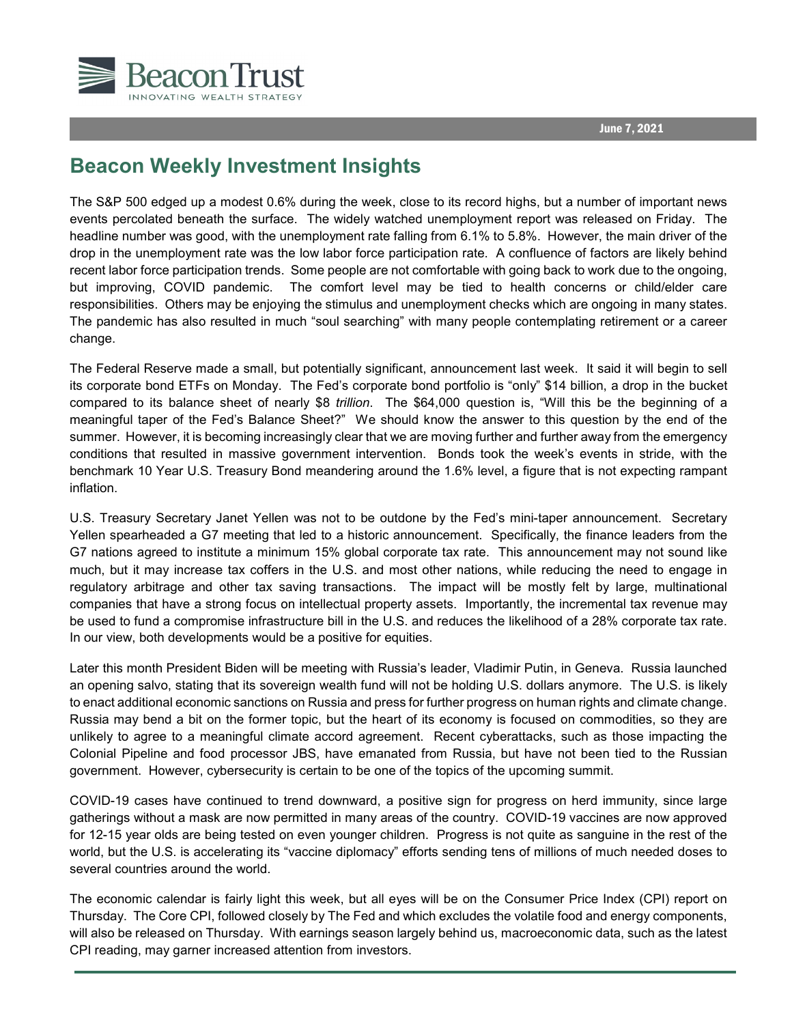

## **Beacon Weekly Investment Insights**

The S&P 500 edged up a modest 0.6% during the week, close to its record highs, but a number of important news events percolated beneath the surface. The widely watched unemployment report was released on Friday. The headline number was good, with the unemployment rate falling from 6.1% to 5.8%. However, the main driver of the drop in the unemployment rate was the low labor force participation rate. A confluence of factors are likely behind recent labor force participation trends. Some people are not comfortable with going back to work due to the ongoing, but improving, COVID pandemic. The comfort level may be tied to health concerns or child/elder care responsibilities. Others may be enjoying the stimulus and unemployment checks which are ongoing in many states. The pandemic has also resulted in much "soul searching" with many people contemplating retirement or a career change.

The Federal Reserve made a small, but potentially significant, announcement last week. It said it will begin to sell its corporate bond ETFs on Monday. The Fed's corporate bond portfolio is "only" \$14 billion, a drop in the bucket compared to its balance sheet of nearly \$8 *trillion*. The \$64,000 question is, "Will this be the beginning of a meaningful taper of the Fed's Balance Sheet?" We should know the answer to this question by the end of the summer. However, it is becoming increasingly clear that we are moving further and further away from the emergency conditions that resulted in massive government intervention. Bonds took the week's events in stride, with the benchmark 10 Year U.S. Treasury Bond meandering around the 1.6% level, a figure that is not expecting rampant inflation.

U.S. Treasury Secretary Janet Yellen was not to be outdone by the Fed's mini-taper announcement. Secretary Yellen spearheaded a G7 meeting that led to a historic announcement. Specifically, the finance leaders from the G7 nations agreed to institute a minimum 15% global corporate tax rate. This announcement may not sound like much, but it may increase tax coffers in the U.S. and most other nations, while reducing the need to engage in regulatory arbitrage and other tax saving transactions. The impact will be mostly felt by large, multinational companies that have a strong focus on intellectual property assets. Importantly, the incremental tax revenue may be used to fund a compromise infrastructure bill in the U.S. and reduces the likelihood of a 28% corporate tax rate. In our view, both developments would be a positive for equities.

Later this month President Biden will be meeting with Russia's leader, Vladimir Putin, in Geneva. Russia launched an opening salvo, stating that its sovereign wealth fund will not be holding U.S. dollars anymore. The U.S. is likely to enact additional economic sanctions on Russia and press for further progress on human rights and climate change. Russia may bend a bit on the former topic, but the heart of its economy is focused on commodities, so they are unlikely to agree to a meaningful climate accord agreement. Recent cyberattacks, such as those impacting the Colonial Pipeline and food processor JBS, have emanated from Russia, but have not been tied to the Russian government. However, cybersecurity is certain to be one of the topics of the upcoming summit.

COVID-19 cases have continued to trend downward, a positive sign for progress on herd immunity, since large gatherings without a mask are now permitted in many areas of the country. COVID-19 vaccines are now approved for 12-15 year olds are being tested on even younger children. Progress is not quite as sanguine in the rest of the world, but the U.S. is accelerating its "vaccine diplomacy" efforts sending tens of millions of much needed doses to several countries around the world.

The economic calendar is fairly light this week, but all eyes will be on the Consumer Price Index (CPI) report on Thursday. The Core CPI, followed closely by The Fed and which excludes the volatile food and energy components, will also be released on Thursday. With earnings season largely behind us, macroeconomic data, such as the latest CPI reading, may garner increased attention from investors.